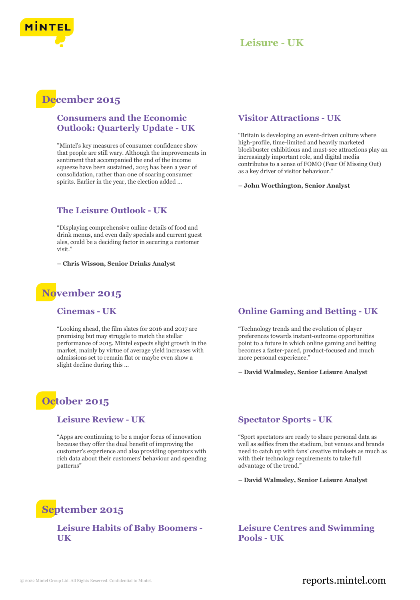

## **Leisure - UK**

## **December 2015**

#### **Consumers and the Economic Outlook: Quarterly Update - UK**

"Mintel's key measures of consumer confidence show that people are still wary. Although the improvements in sentiment that accompanied the end of the income squeeze have been sustained, 2015 has been a year of consolidation, rather than one of soaring consumer spirits. Earlier in the year, the election added ...

#### **The Leisure Outlook - UK**

"Displaying comprehensive online details of food and drink menus, and even daily specials and current guest ales, could be a deciding factor in securing a customer visit.'

**– Chris Wisson, Senior Drinks Analyst**

## **November 2015**

#### **Cinemas - UK**

"Looking ahead, the film slates for 2016 and 2017 are promising but may struggle to match the stellar performance of 2015. Mintel expects slight growth in the market, mainly by virtue of average yield increases with admissions set to remain flat or maybe even show a slight decline during this ...

## **October 2015**

#### **Leisure Review - UK**

"Apps are continuing to be a major focus of innovation because they offer the dual benefit of improving the customer's experience and also providing operators with rich data about their customers' behaviour and spending patterns"

#### **Visitor Attractions - UK**

"Britain is developing an event-driven culture where high-profile, time-limited and heavily marketed blockbuster exhibitions and must-see attractions play an increasingly important role, and digital media contributes to a sense of FOMO (Fear Of Missing Out) as a key driver of visitor behaviour."

**– John Worthington, Senior Analyst**

#### **Online Gaming and Betting - UK**

"Technology trends and the evolution of player preferences towards instant-outcome opportunities point to a future in which online gaming and betting becomes a faster-paced, product-focused and much more personal experience."

**– David Walmsley, Senior Leisure Analyst**

#### **Spectator Sports - UK**

"Sport spectators are ready to share personal data as well as selfies from the stadium, but venues and brands need to catch up with fans' creative mindsets as much as with their technology requirements to take full advantage of the trend."

**– David Walmsley, Senior Leisure Analyst**

## **September 2015**

#### **Leisure Habits of Baby Boomers - UK**

**Leisure Centres and Swimming Pools - UK**

### © 2022 Mintel Group Ltd. All Rights Reserved. Confidential to Mintel.  $\blacksquare$  reports.mintel.com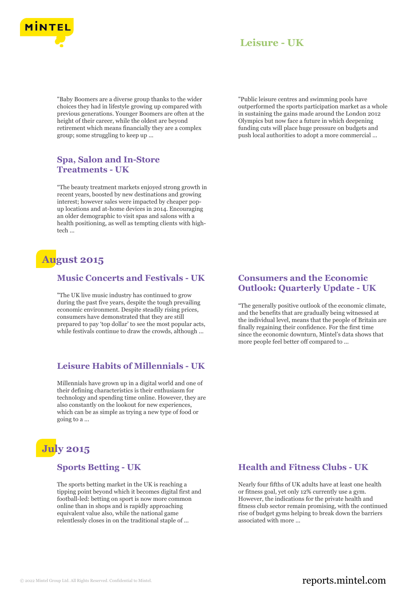

## **Leisure - UK**

"Baby Boomers are a diverse group thanks to the wider choices they had in lifestyle growing up compared with previous generations. Younger Boomers are often at the height of their career, while the oldest are beyond retirement which means financially they are a complex group; some struggling to keep up ...

#### **Spa, Salon and In-Store Treatments - UK**

"The beauty treatment markets enjoyed strong growth in recent years, boosted by new destinations and growing interest; however sales were impacted by cheaper popup locations and at-home devices in 2014. Encouraging an older demographic to visit spas and salons with a health positioning, as well as tempting clients with hightech ...

## **August 2015**

#### **Music Concerts and Festivals - UK**

"The UK live music industry has continued to grow during the past five years, despite the tough prevailing economic environment. Despite steadily rising prices, consumers have demonstrated that they are still prepared to pay 'top dollar' to see the most popular acts, while festivals continue to draw the crowds, although ...

#### **Leisure Habits of Millennials - UK**

Millennials have grown up in a digital world and one of their defining characteristics is their enthusiasm for technology and spending time online. However, they are also constantly on the lookout for new experiences, which can be as simple as trying a new type of food or going to a ...

# **July 2015**

#### **Sports Betting - UK**

The sports betting market in the UK is reaching a tipping point beyond which it becomes digital first and football-led: betting on sport is now more common online than in shops and is rapidly approaching equivalent value also, while the national game relentlessly closes in on the traditional staple of ...

"Public leisure centres and swimming pools have outperformed the sports participation market as a whole in sustaining the gains made around the London 2012 Olympics but now face a future in which deepening funding cuts will place huge pressure on budgets and push local authorities to adopt a more commercial ...

#### **Consumers and the Economic Outlook: Quarterly Update - UK**

"The generally positive outlook of the economic climate, and the benefits that are gradually being witnessed at the individual level, means that the people of Britain are finally regaining their confidence. For the first time since the economic downturn, Mintel's data shows that more people feel better off compared to ...

#### **Health and Fitness Clubs - UK**

Nearly four fifths of UK adults have at least one health or fitness goal, yet only 12% currently use a gym. However, the indications for the private health and fitness club sector remain promising, with the continued rise of budget gyms helping to break down the barriers associated with more ...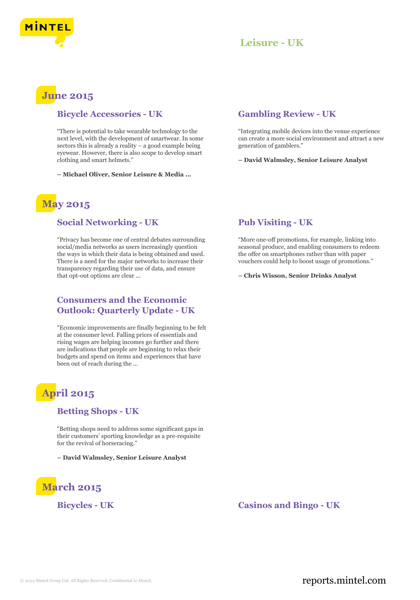



## **June 2015**

#### **Bicycle Accessories - UK**

"There is potential to take wearable technology to the next level, with the development of smartwear. In some sectors this is already a reality – a good example being eyewear. However, there is also scope to develop smart clothing and smart helmets."

**– Michael Oliver, Senior Leisure & Media ...**

## **May 2015**

#### **Social Networking - UK**

"Privacy has become one of central debates surrounding social/media networks as users increasingly question the ways in which their data is being obtained and used. There is a need for the major networks to increase their transparency regarding their use of data, and ensure that opt-out options are clear ...

#### **Consumers and the Economic Outlook: Quarterly Update - UK**

"Economic improvements are finally beginning to be felt at the consumer level. Falling prices of essentials and rising wages are helping incomes go further and there are indications that people are beginning to relax their budgets and spend on items and experiences that have been out of reach during the ...

## **April 2015**

#### **Betting Shops - UK**

"Betting shops need to address some significant gaps in their customers' sporting knowledge as a pre-requisite for the revival of horseracing."

**– David Walmsley, Senior Leisure Analyst**

# **March 2015**

#### **Gambling Review - UK**

"Integrating mobile devices into the venue experience can create a more social environment and attract a new generation of gamblers."

**– David Walmsley, Senior Leisure Analyst**

#### **Pub Visiting - UK**

"More one-off promotions, for example, linking into seasonal produce, and enabling consumers to redeem the offer on smartphones rather than with paper vouchers could help to boost usage of promotions."

**– Chris Wisson, Senior Drinks Analyst**

**Bicycles - UK Casinos and Bingo - UK**